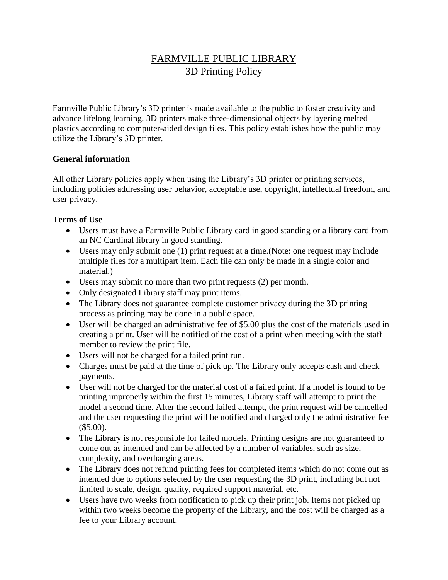# FARMVILLE PUBLIC LIBRARY 3D Printing Policy

Farmville Public Library's 3D printer is made available to the public to foster creativity and advance lifelong learning. 3D printers make three-dimensional objects by layering melted plastics according to computer-aided design files. This policy establishes how the public may utilize the Library's 3D printer.

#### **General information**

All other Library policies apply when using the Library's 3D printer or printing services, including policies addressing user behavior, acceptable use, copyright, intellectual freedom, and user privacy.

#### **Terms of Use**

- Users must have a Farmville Public Library card in good standing or a library card from an NC Cardinal library in good standing.
- Users may only submit one (1) print request at a time.(Note: one request may include multiple files for a multipart item. Each file can only be made in a single color and material.)
- Users may submit no more than two print requests (2) per month.
- Only designated Library staff may print items.
- The Library does not guarantee complete customer privacy during the 3D printing process as printing may be done in a public space.
- User will be charged an administrative fee of \$5.00 plus the cost of the materials used in creating a print. User will be notified of the cost of a print when meeting with the staff member to review the print file.
- Users will not be charged for a failed print run.
- Charges must be paid at the time of pick up. The Library only accepts cash and check payments.
- User will not be charged for the material cost of a failed print. If a model is found to be printing improperly within the first 15 minutes, Library staff will attempt to print the model a second time. After the second failed attempt, the print request will be cancelled and the user requesting the print will be notified and charged only the administrative fee  $($5.00).$
- The Library is not responsible for failed models. Printing designs are not guaranteed to come out as intended and can be affected by a number of variables, such as size, complexity, and overhanging areas.
- The Library does not refund printing fees for completed items which do not come out as intended due to options selected by the user requesting the 3D print, including but not limited to scale, design, quality, required support material, etc.
- Users have two weeks from notification to pick up their print job. Items not picked up within two weeks become the property of the Library, and the cost will be charged as a fee to your Library account.